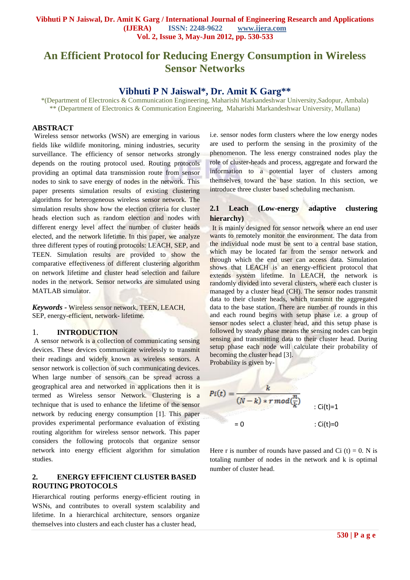# **An Efficient Protocol for Reducing Energy Consumption in Wireless Sensor Networks**

# **Vibhuti P N Jaiswal\*, Dr. Amit K Garg\*\***

\*(Department of Electronics & Communication Engineering, Maharishi Markandeshwar University,Sadopur, Ambala) \*\* (Department of Electronics & Communication Engineering, Maharishi Markandeshwar University, Mullana)

#### **ABSTRACT**

Wireless sensor networks (WSN) are emerging in various fields like wildlife monitoring, mining industries, security surveillance. The efficiency of sensor networks strongly depends on the routing protocol used. Routing protocols providing an optimal data transmission route from sensor nodes to sink to save energy of nodes in the network. This paper presents simulation results of existing clustering algorithms for heterogeneous wireless sensor network. The simulation results show how the election criteria for cluster heads election such as random election and nodes with different energy level affect the number of cluster heads elected, and the network lifetime. In this paper, we analyze three different types of routing protocols: LEACH, SEP, and TEEN. Simulation results are provided to show the comparative effectiveness of different clustering algorithm on network lifetime and cluster head selection and failure nodes in the network. Sensor networks are simulated using MATLAB simulator.

*Keywords -* Wireless sensor network, TEEN, LEACH, SEP, energy-efficient, network- lifetime.

#### 1. **INTRODUCTION**

A sensor network is a collection of communicating sensing devices. These devices communicate wirelessly to transmit their readings and widely known as wireless sensors. A sensor network is collection of such communicating devices. When large number of sensors can be spread across a geographical area and networked in applications then it is termed as Wireless sensor Network. Clustering is a technique that is used to enhance the lifetime of the sensor network by reducing energy consumption [1]. This paper provides experimental performance evaluation of existing routing algorithm for wireless sensor network. This paper considers the following protocols that organize sensor network into energy efficient algorithm for simulation studies.

# **2. ENERGY EFFICIENT CLUSTER BASED ROUTING PROTOCOLS**

Hierarchical routing performs energy-efficient routing in WSNs, and contributes to overall system scalability and lifetime. In a hierarchical architecture, sensors organize themselves into clusters and each cluster has a cluster head,

i.e. sensor nodes form clusters where the low energy nodes are used to perform the sensing in the proximity of the phenomenon. The less energy constrained nodes play the role of cluster-heads and process, aggregate and forward the information to a potential layer of clusters among themselves toward the base station. In this section, we introduce three cluster based scheduling mechanism.

# **2.1 Leach (Low-energy adaptive clustering hierarchy)**

It is mainly designed for sensor network where an end user wants to remotely monitor the environment. The data from the individual node must be sent to a central base station, which may be located far from the sensor network and through which the end user can access data. Simulation shows that LEACH is an energy-efficient protocol that extends system lifetime. In LEACH, the network is randomly divided into several clusters, where each cluster is managed by a cluster head (CH). The sensor nodes transmit data to their cluster heads, which transmit the aggregated data to the base station. There are number of rounds in this and each round begins with setup phase i.e. a group of sensor nodes select a cluster head, and this setup phase is followed by steady phase means the sensing nodes can begin sensing and transmitting data to their cluster head. During setup phase each node will calculate their probability of becoming the cluster head [3].

Probability is given by-

$$
Pi(t) = \frac{k}{(N-k) * r mod(\frac{n}{k})}
$$
  
= 0 : Ci(t)=0

Here r is number of rounds have passed and Ci  $(t) = 0$ . N is totaling number of nodes in the network and k is optimal number of cluster head.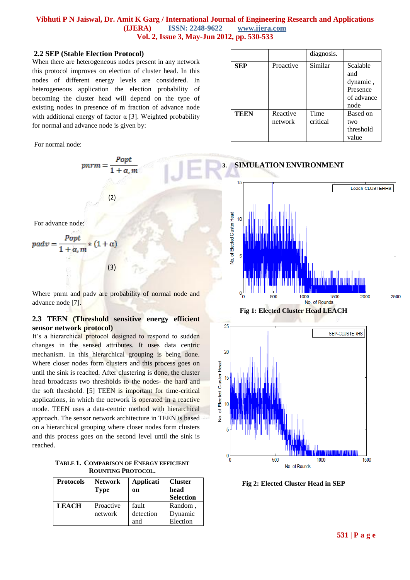#### **2.2 SEP (Stable Election Protocol)**

When there are heterogeneous nodes present in any network this protocol improves on election of cluster head. In this nodes of different energy levels are considered. In heterogeneous application the election probability of becoming the cluster head will depend on the type of existing nodes in presence of m fraction of advance node with additional energy of factor  $\alpha$  [3]. Weighted probability for normal and advance node is given by:

For normal node:











**Fig 2: Elected Cluster Head in SEP**

For advance node:

$$
padv = \frac{Popt}{1 + \alpha, m} * (1 + \alpha)
$$
\n(3)

Where pnrm and padv are probability of normal node and advance node [7].

(2)

 $p n r m = \frac{P \circ p t}{1 + \alpha, m}$ 

# **2.3 TEEN (Threshold sensitive energy efficient sensor network protocol)**

It's a hierarchical protocol designed to respond to sudden changes in the sensed attributes. It uses data centric mechanism. In this hierarchical grouping is being done. Where closer nodes form clusters and this process goes on until the sink is reached. After clustering is done, the cluster head broadcasts two thresholds to the nodes- the hard and the soft threshold. [5] TEEN is important for time-critical applications, in which the network is operated in a reactive mode. TEEN uses a data-centric method with hierarchical approach. The sensor network architecture in TEEN is based on a hierarchical grouping where closer nodes form clusters and this process goes on the second level until the sink is reached.

**TABLE 1. COMPARISON OF ENERGY EFFICIENT ROUNTING PROTOCOL.**

| <b>Protocols</b> | <b>Network</b><br><b>Type</b> | Applicati<br>on | <b>Cluster</b><br>head<br><b>Selection</b> |
|------------------|-------------------------------|-----------------|--------------------------------------------|
| <b>LEACH</b>     | Proactive                     | fault           | Random,                                    |
|                  | network                       | detection       | Dynamic                                    |
|                  |                               | and             | Election                                   |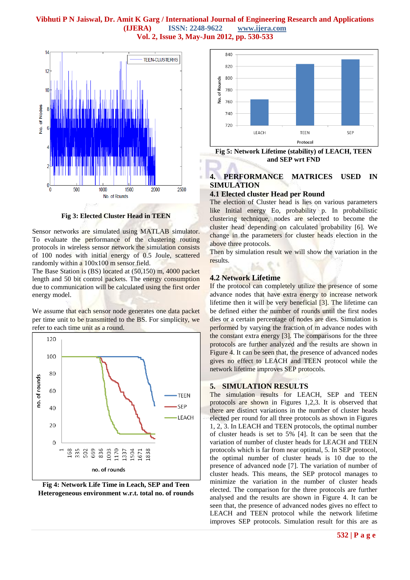

**Fig 3: Elected Cluster Head in TEEN**

Sensor networks are simulated using MATLAB simulator. To evaluate the performance of the clustering routing protocols in wireless sensor network the simulation consists of 100 nodes with initial energy of 0.5 Joule, scattered randomly within a 100x100 m sensor field.

The Base Station is (BS) located at (50,150) m, 4000 packet length and 50 bit control packets. The energy consumption due to communication will be calculated using the first order energy model.

We assume that each sensor node generates one data packet per time unit to be transmitted to the BS. For simplicity, we refer to each time unit as a round.



**Fig 4: Network Life Time in Leach, SEP and Teen Heterogeneous environment w.r.t. total no. of rounds**



**Fig 5: Network Lifetime (stability) of LEACH, TEEN and SEP wrt FND**

# **4. PERFORMANCE MATRICES USED IN SIMULATION**

### **4.1 Elected cluster Head per Round**

The election of Cluster head is lies on various parameters like Initial energy Eo, probability p. In probabilistic clustering technique, nodes are selected to become the cluster head depending on calculated probability [6]. We change in the parameters for cluster heads election in the above three protocols.

Then by simulation result we will show the variation in the results.

#### **4.2 Network Lifetime**

If the protocol can completely utilize the presence of some advance nodes that have extra energy to increase network lifetime then it will be very beneficial [3]. The lifetime can be defined either the number of rounds until the first nodes dies or a certain percentage of nodes are dies. Simulation is performed by varying the fraction of m advance nodes with the constant extra energy [3]. The comparisons for the three protocols are further analyzed and the results are shown in Figure 4. It can be seen that, the presence of advanced nodes gives no effect to LEACH and TEEN protocol while the network lifetime improves SEP protocols.

#### **5. SIMULATION RESULTS**

The simulation results for LEACH, SEP and TEEN protocols are shown in Figures 1,2,3. It is observed that there are distinct variations in the number of cluster heads elected per round for all three protocols as shown in Figures 1, 2, 3. In LEACH and TEEN protocols, the optimal number of cluster heads is set to 5% [4]. It can be seen that the variation of number of cluster heads for LEACH and TEEN protocols which is far from near optimal, 5. In SEP protocol, the optimal number of cluster heads is 10 due to the presence of advanced node [7]. The variation of number of cluster heads. This means, the SEP protocol manages to minimize the variation in the number of cluster heads elected. The comparison for the three protocols are further analysed and the results are shown in Figure 4. It can be seen that, the presence of advanced nodes gives no effect to LEACH and TEEN protocol while the network lifetime improves SEP protocols. Simulation result for this are as